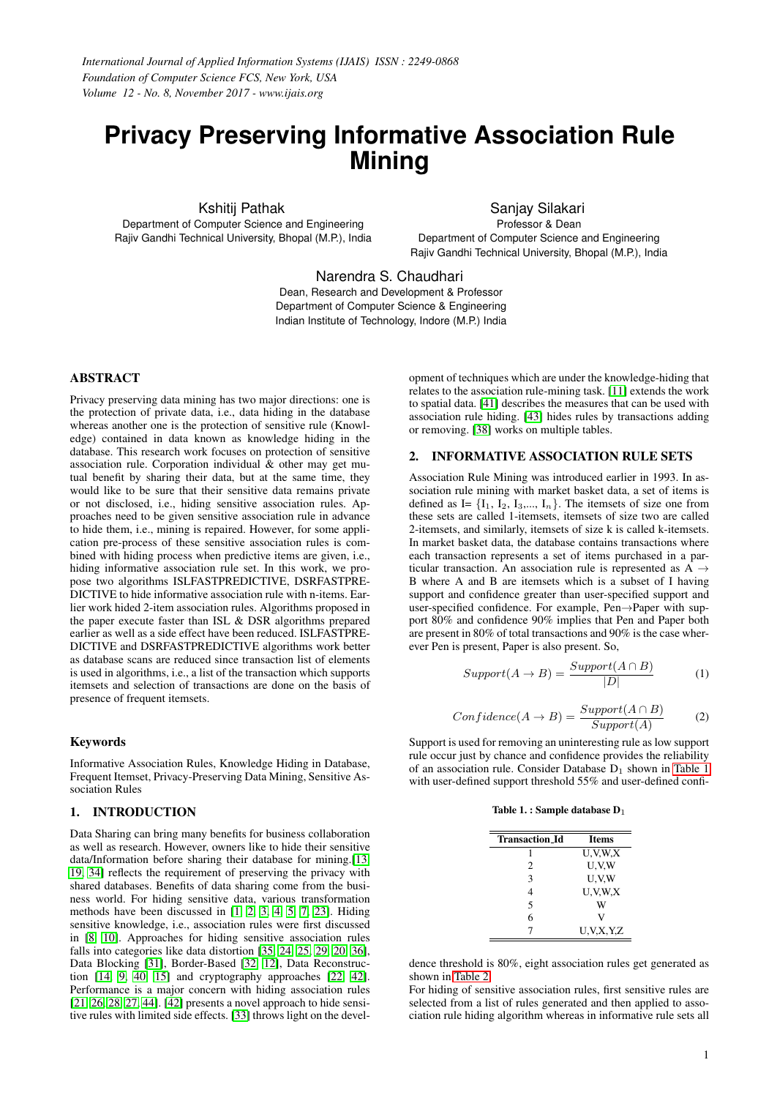# **Privacy Preserving Informative Association Rule Mining**

Kshitij Pathak Department of Computer Science and Engineering Rajiv Gandhi Technical University, Bhopal (M.P.), India

Sanjay Silakari Professor & Dean Department of Computer Science and Engineering Rajiv Gandhi Technical University, Bhopal (M.P.), India

Narendra S. Chaudhari

Dean, Research and Development & Professor Department of Computer Science & Engineering Indian Institute of Technology, Indore (M.P.) India

# ABSTRACT

Privacy preserving data mining has two major directions: one is the protection of private data, i.e., data hiding in the database whereas another one is the protection of sensitive rule (Knowledge) contained in data known as knowledge hiding in the database. This research work focuses on protection of sensitive association rule. Corporation individual  $\&$  other may get mutual benefit by sharing their data, but at the same time, they would like to be sure that their sensitive data remains private or not disclosed, i.e., hiding sensitive association rules. Approaches need to be given sensitive association rule in advance to hide them, i.e., mining is repaired. However, for some application pre-process of these sensitive association rules is combined with hiding process when predictive items are given, i.e., hiding informative association rule set. In this work, we propose two algorithms ISLFASTPREDICTIVE, DSRFASTPRE-DICTIVE to hide informative association rule with n-items. Earlier work hided 2-item association rules. Algorithms proposed in the paper execute faster than ISL & DSR algorithms prepared earlier as well as a side effect have been reduced. ISLFASTPRE-DICTIVE and DSRFASTPREDICTIVE algorithms work better as database scans are reduced since transaction list of elements is used in algorithms, i.e., a list of the transaction which supports itemsets and selection of transactions are done on the basis of presence of frequent itemsets.

#### Keywords

Informative Association Rules, Knowledge Hiding in Database, Frequent Itemset, Privacy-Preserving Data Mining, Sensitive Association Rules

## 1. INTRODUCTION

Data Sharing can bring many benefits for business collaboration as well as research. However, owners like to hide their sensitive data/Information before sharing their database for mining.[\[13,](#page-5-0) [19,](#page-5-1) [34\]](#page-5-2) reflects the requirement of preserving the privacy with shared databases. Benefits of data sharing come from the business world. For hiding sensitive data, various transformation methods have been discussed in [\[1,](#page-4-0) [2,](#page-4-1) [3,](#page-4-2) [4,](#page-5-3) [5,](#page-5-4) [7,](#page-5-5) [23\]](#page-5-6). Hiding sensitive knowledge, i.e., association rules were first discussed in [\[8,](#page-5-7) [10\]](#page-5-8). Approaches for hiding sensitive association rules falls into categories like data distortion [\[35,](#page-5-9) [24,](#page-5-10) [25,](#page-5-11) [29,](#page-5-12) [20,](#page-5-13) [36\]](#page-6-0), Data Blocking [\[31\]](#page-5-14), Border-Based [\[32,](#page-5-15) [12\]](#page-5-16), Data Reconstruction [\[14,](#page-5-17) [9,](#page-5-18) [40,](#page-6-1) [15\]](#page-5-19) and cryptography approaches [\[22,](#page-5-20) [42\]](#page-6-2). Performance is a major concern with hiding association rules [\[21,](#page-5-21) [26,](#page-5-22) [28,](#page-5-23) [27,](#page-5-24) [44\]](#page-6-3). [\[42\]](#page-6-2) presents a novel approach to hide sensitive rules with limited side effects. [\[33\]](#page-5-25) throws light on the development of techniques which are under the knowledge-hiding that relates to the association rule-mining task. [\[11\]](#page-5-26) extends the work to spatial data. [\[41\]](#page-6-4) describes the measures that can be used with association rule hiding. [\[43\]](#page-6-5) hides rules by transactions adding or removing. [\[38\]](#page-6-6) works on multiple tables.

## 2. INFORMATIVE ASSOCIATION RULE SETS

Association Rule Mining was introduced earlier in 1993. In association rule mining with market basket data, a set of items is defined as I=  $\{I_1, I_2, I_3, \dots, I_n\}$ . The itemsets of size one from these sets are called 1-itemsets, itemsets of size two are called 2-itemsets, and similarly, itemsets of size k is called k-itemsets. In market basket data, the database contains transactions where each transaction represents a set of items purchased in a particular transaction. An association rule is represented as  $\overrightarrow{A}$   $\rightarrow$ B where A and B are itemsets which is a subset of I having support and confidence greater than user-specified support and user-specified confidence. For example, Pen→Paper with support 80% and confidence 90% implies that Pen and Paper both are present in 80% of total transactions and 90% is the case wherever Pen is present, Paper is also present. So,

$$
Support(A \to B) = \frac{Support(A \cap B)}{|D|} \tag{1}
$$

$$
Confidence(A \to B) = \frac{Support(A \cap B)}{Support(A)} \tag{2}
$$

<span id="page-0-0"></span>Support is used for removing an uninteresting rule as low support rule occur just by chance and confidence provides the reliability of an association rule. Consider Database  $D_1$  shown in [Table 1](#page-0-0) with user-defined support threshold 55% and user-defined confi-

|  |  |  | Table 1. : Sample database $D_1$ |  |
|--|--|--|----------------------------------|--|
|--|--|--|----------------------------------|--|

| <b>Transaction_Id</b> | <b>Items</b>  |
|-----------------------|---------------|
|                       | U.V.W.X       |
| 2                     | U.V.W         |
| 3                     | U.V.W         |
| 4                     | U.V.W.X       |
| 5                     | w             |
| 6                     | V)            |
|                       | U, V, X, Y, Z |

dence threshold is 80%, eight association rules get generated as shown in [Table 2.](#page-1-0)

For hiding of sensitive association rules, first sensitive rules are selected from a list of rules generated and then applied to association rule hiding algorithm whereas in informative rule sets all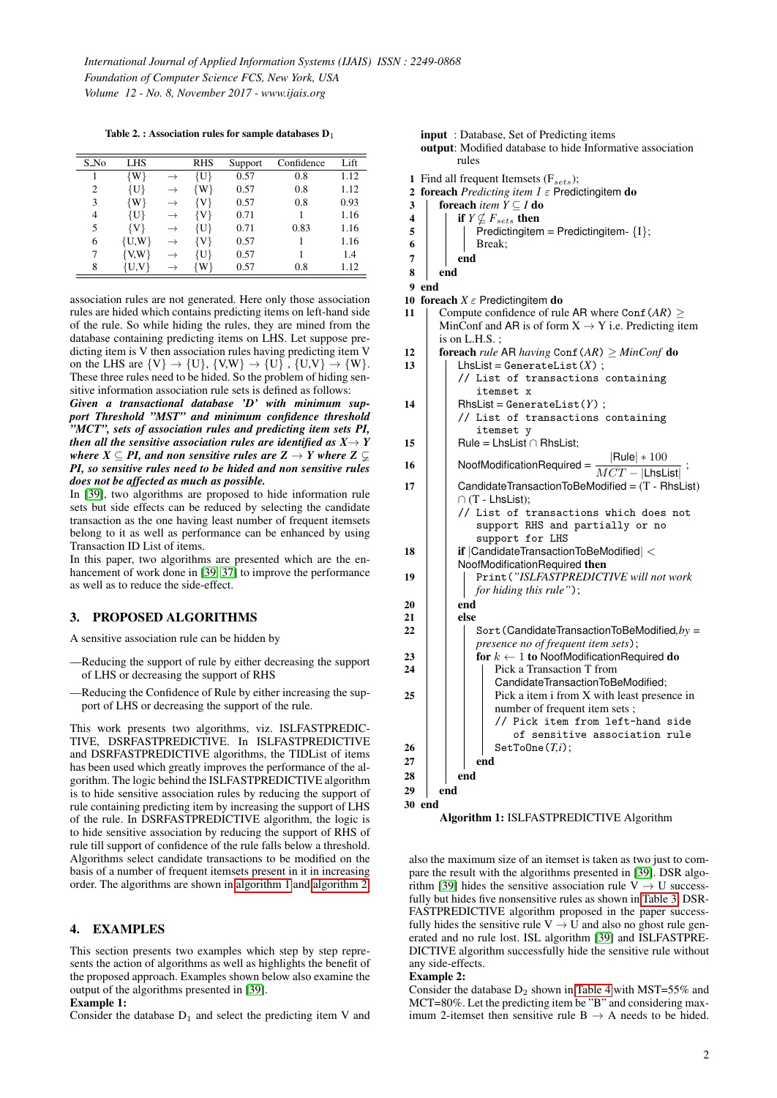Table 2. : Association rules for sample databases  $D_1$ 

<span id="page-1-0"></span>

| S_No | LHS       | <b>RHS</b> | Support | Confidence | Lift |
|------|-----------|------------|---------|------------|------|
|      | $\{W\}$   | {U}        | 0.57    | 0.8        | 1.12 |
| 2    | {U}       | $\{W\}$    | 0.57    | 0.8        | 1.12 |
| 3    | {W}       | {V}        | 0.57    | 0.8        | 0.93 |
| 4    | {U}       | {V}        | 0.71    |            | 1.16 |
| 5    | {V}       | {U}        | 0.71    | 0.83       | 1.16 |
| 6    | $\{U,W\}$ | {V}        | 0.57    |            | 1.16 |
|      | $\{V,W\}$ | {U}        | 0.57    |            | 1.4  |
| 8    | $\{U,V\}$ | {W}        | 0.57    | 0.8        | 1.12 |

association rules are not generated. Here only those association rules are hided which contains predicting items on left-hand side of the rule. So while hiding the rules, they are mined from the database containing predicting items on LHS. Let suppose predicting item is V then association rules having predicting item V on the LHS are  $\{V\} \rightarrow \{U\}$ ,  $\{V,W\} \rightarrow \{U\}$ ,  $\{U,V\} \rightarrow \{W\}$ . These three rules need to be hided. So the problem of hiding sensitive information association rule sets is defined as follows:

*Given a transactional database 'D' with minimum support Threshold "MST" and minimum confidence threshold "MCT", sets of association rules and predicting item sets PI, then all the sensitive association rules are identified as*  $X \rightarrow Y$ *where*  $X \subseteq PI$ *, and non sensitive rules are*  $Z \rightarrow Y$  *where*  $Z \subseteq \mathcal{Z}$ *PI, so sensitive rules need to be hided and non sensitive rules does not be affected as much as possible.*

In [\[39\]](#page-6-7), two algorithms are proposed to hide information rule sets but side effects can be reduced by selecting the candidate transaction as the one having least number of frequent itemsets belong to it as well as performance can be enhanced by using Transaction ID List of items.

In this paper, two algorithms are presented which are the enhancement of work done in [\[39,](#page-6-7) [37\]](#page-6-8) to improve the performance as well as to reduce the side-effect.

#### 3. PROPOSED ALGORITHMS

A sensitive association rule can be hidden by

- —Reducing the support of rule by either decreasing the support of LHS or decreasing the support of RHS
- —Reducing the Confidence of Rule by either increasing the support of LHS or decreasing the support of the rule.

This work presents two algorithms, viz. ISLFASTPREDIC-TIVE, DSRFASTPREDICTIVE. In ISLFASTPREDICTIVE and DSRFASTPREDICTIVE algorithms, the TIDList of items has been used which greatly improves the performance of the algorithm. The logic behind the ISLFASTPREDICTIVE algorithm is to hide sensitive association rules by reducing the support of rule containing predicting item by increasing the support of LHS of the rule. In DSRFASTPREDICTIVE algorithm, the logic is to hide sensitive association by reducing the support of RHS of rule till support of confidence of the rule falls below a threshold. Algorithms select candidate transactions to be modified on the basis of a number of frequent itemsets present in it in increasing order. The algorithms are shown in [algorithm 1](#page-1-1) and [algorithm 2.](#page-2-0)

#### 4. EXAMPLES

This section presents two examples which step by step represents the action of algorithms as well as highlights the benefit of the proposed approach. Examples shown below also examine the output of the algorithms presented in [\[39\]](#page-6-7).

#### Example 1:

Consider the database  $D_1$  and select the predicting item V and

input : Database, Set of Predicting items output: Modified database to hide Informative association rules

- 1 Find all frequent Itemsets  $(F<sub>sets</sub>)$ ;
- 2 foreach *Predicting item*  $I \in$  Predictingitem **do**<br>3 | foreach *item*  $Y \subseteq I$  **do**
- foreach *item*  $\bar{Y} \subseteq I$  do
- $\begin{array}{c|c} \n\textbf{4} & \textbf{if } Y \nsubseteq F_{sets} \textbf{then} \\ \n\hline \n\textbf{5} & \textbf{Predicting} \n\end{array}$
- $Predictingitem = Predictingitem {1};$
- 6 Break;
- $7$  end
- 8 end

9 end

- 10 foreach  $X \in \mathsf{Predicting}$  item do
- 11 Compute confidence of rule AR where  $Conf(AR) \ge$ MinConf and AR is of form  $X \rightarrow Y$  i.e. Predicting item is on L.H.S. ;
- 12 **for each** *rule* AR *having* Conf $(AR) \geq MinConf$  **do**<br>13 **h** LhsList = GenerateList(*X*):  $LhsList = GenerateList(X)$ ; // List of transactions containing itemset x 14 | RhsList = GenerateList( $Y$ ) ; // List of transactions containing itemset y 15 | Rule = LhsList ∩ RhsList;  $16$  NoofModificationRequired =  $\frac{|\text{Rule}| * 100}{MCT}$  $MCT - |$ LhsList $|$ ; 17 | CandidateTransactionToBeModified =  $(T - Rhslist)$ ∩ (T - LhsList); // List of transactions which does not support RHS and partially or no support for LHS 18 | if | CandidateTransactionToBeModified | < NoofModificationRequired then 19 Print(*"ISLFASTPREDICTIVE will not work for hiding this rule"*);  $20$  end 21 | else 22 | | Sort(CandidateTransactionToBeModified, by = *presence no of frequent item sets*); 23  $\vert$   $\vert$   $\vert$  for  $k \leftarrow 1$  to NoofModificationRequired do 24 | | | Pick a Transaction T from CandidateTransactionToBeModified;  $25$  | | | Pick a item i from X with least presence in number of frequent item sets ; // Pick item from left-hand side of sensitive association rule  $26$  | | | SetToOne $(T,i)$ ;  $27$  end 28 end  $29$  end 30 end

<span id="page-1-1"></span>Algorithm 1: ISLFASTPREDICTIVE Algorithm

also the maximum size of an itemset is taken as two just to compare the result with the algorithms presented in [\[39\]](#page-6-7). DSR algo-rithm [\[39\]](#page-6-7) hides the sensitive association rule  $V \rightarrow U$  successfully but hides five nonsensitive rules as shown in [Table 3.](#page-2-1) DSR-FASTPREDICTIVE algorithm proposed in the paper successfully hides the sensitive rule  $V \rightarrow U$  and also no ghost rule generated and no rule lost. ISL algorithm [\[39\]](#page-6-7) and ISLFASTPRE-DICTIVE algorithm successfully hide the sensitive rule without any side-effects.

#### Example 2:

Consider the database  $D_2$  shown in [Table 4](#page-2-2) with MST=55% and MCT=80%. Let the predicting item be "B" and considering maximum 2-itemset then sensitive rule  $B \rightarrow A$  needs to be hided.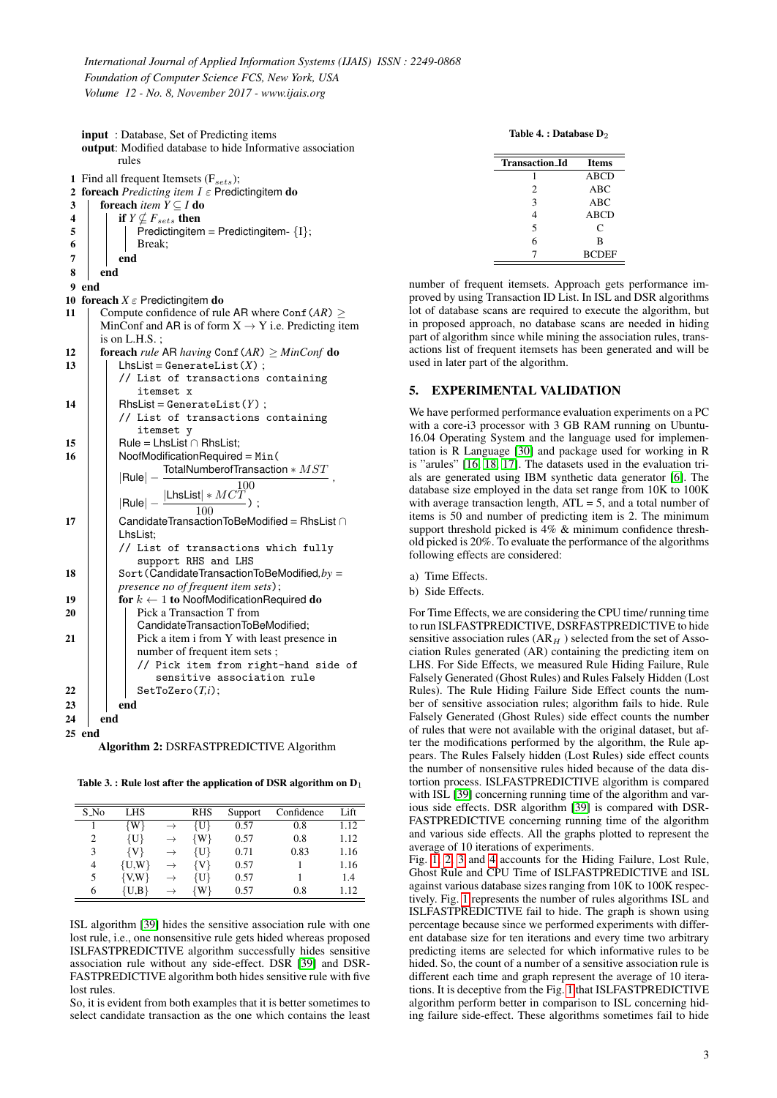input : Database, Set of Predicting items output: Modified database to hide Informative association rules 1 Find all frequent Itemsets  $(F_{sets})$ ; 2 foreach *Predicting item*  $I \in$  Predictingitem **do**<br>3 | foreach *item*  $Y \subseteq I$  **do** foreach *item*  $\bar{Y} \subseteq I$  do  $\begin{array}{c|c} \n\textbf{4} & \textbf{if } Y \nsubseteq F_{sets} \textbf{then} \\ \n\hline \n\textbf{5} & \textbf{Predicting} \n\end{array}$  $Predictingitem = Predictingitem - {I};$  $\begin{array}{c|c|c|c|c} \hline \hline \hline \hline \end{array}$  Break;  $7 \mid$  end 8 end 9 end 10 foreach  $X \in \mathsf{Predicting}$  item do 11 Compute confidence of rule AR where Conf $(AR) \ge$ MinConf and AR is of form  $X \rightarrow Y$  i.e. Predicting item is on L.H.S. ; 12 **for each** *rule* AR *having* Conf $\langle AR \rangle \geq MinConf$  **do**<br>13 **h** LhsList = GenerateList(*X*):  $L$ hsList = GenerateList $(X)$ ; // List of transactions containing itemset x 14 | RhsList = GenerateList( $Y$ ); // List of transactions containing itemset y 15 | Rule = LhsList ∩ RhsList;  $16$  | NoofModificationRequired = Min(  $|\text{Rule}| - \frac{\text{TotalNumberofTransaction} * MST}{100}$  $|\text{Rule}| - \frac{|\text{LhsList}| * MCT}{100}$ ; *,* 100 17 | CandidateTransactionToBeModified = RhsList ∩ LhsList; // List of transactions which fully support RHS and LHS 18 | Sort(CandidateTransactionToBeModified, by = *presence no of frequent item sets*); 19  $\parallel$  for  $k \leftarrow 1$  to NoofModificationRequired do 20  $\parallel$  Pick a Transaction T from CandidateTransactionToBeModified; 21 | | Pick a item i from Y with least presence in number of frequent item sets ; side of

|     |     |     |                  | // Pick item from right-hand |  |
|-----|-----|-----|------------------|------------------------------|--|
|     |     |     |                  | sensitive association rule   |  |
| 22  |     |     | SetToZero(T, i); |                              |  |
| 23  |     | end |                  |                              |  |
| 24  | end |     |                  |                              |  |
| 25. |     |     |                  |                              |  |

<span id="page-2-0"></span>Algorithm 2: DSRFASTPREDICTIVE Algorithm

<span id="page-2-1"></span>Table 3. : Rule lost after the application of DSR algorithm on  $D_1$ 

| $S_N$ | <b>LHS</b>   |               | <b>RHS</b> | Support | Confidence | Lift |
|-------|--------------|---------------|------------|---------|------------|------|
|       | {W}          | $\rightarrow$ | $\{U\}$    | 0.57    | 0.8        | 1.12 |
| 2     | {U}          | $\rightarrow$ | $\{W\}$    | 0.57    | 0.8        | 1.12 |
| 3     | {V}          | $\rightarrow$ | {U}        | 0.71    | 0.83       | 1.16 |
| 4     | $\{U,W\}$    | $\rightarrow$ | $\{V\}$    | 0.57    |            | 1.16 |
| 5     | $\{V,W\}$    | $\rightarrow$ | {U}        | 0.57    |            | 1.4  |
| 6     | $\{U_{n}B\}$ | $\rightarrow$ | $\{W\}$    | 0.57    | 0.8        | 1.12 |

ISL algorithm [\[39\]](#page-6-7) hides the sensitive association rule with one lost rule, i.e., one nonsensitive rule gets hided whereas proposed ISLFASTPREDICTIVE algorithm successfully hides sensitive association rule without any side-effect. DSR [\[39\]](#page-6-7) and DSR-FASTPREDICTIVE algorithm both hides sensitive rule with five lost rules.

So, it is evident from both examples that it is better sometimes to select candidate transaction as the one which contains the least

Table 4. : Database  $\mathbf{D}_2$ 

<span id="page-2-2"></span>

| <b>Transaction Id</b> | <b>Items</b> |
|-----------------------|--------------|
|                       | <b>ABCD</b>  |
| 2                     | ABC          |
| 3                     | ABC          |
| 4                     | <b>ABCD</b>  |
| 5                     | C            |
| 6                     | B            |
|                       | <b>BCDEF</b> |

number of frequent itemsets. Approach gets performance improved by using Transaction ID List. In ISL and DSR algorithms lot of database scans are required to execute the algorithm, but in proposed approach, no database scans are needed in hiding part of algorithm since while mining the association rules, transactions list of frequent itemsets has been generated and will be used in later part of the algorithm.

#### 5. EXPERIMENTAL VALIDATION

We have performed performance evaluation experiments on a PC with a core-i3 processor with 3 GB RAM running on Ubuntu-16.04 Operating System and the language used for implementation is R Language [\[30\]](#page-5-27) and package used for working in R is "arules" [\[16,](#page-5-28) [18,](#page-5-29) [17\]](#page-5-30). The datasets used in the evaluation trials are generated using IBM synthetic data generator [\[6\]](#page-5-31). The database size employed in the data set range from 10K to 100K with average transaction length,  $ATL = 5$ , and a total number of items is 50 and number of predicting item is 2. The minimum support threshold picked is 4%  $\&$  minimum confidence threshold picked is 20%. To evaluate the performance of the algorithms following effects are considered:

a) Time Effects.

b) Side Effects.

For Time Effects, we are considering the CPU time/ running time to run ISLFASTPREDICTIVE, DSRFASTPREDICTIVE to hide sensitive association rules  $(AR<sub>H</sub>)$  selected from the set of Association Rules generated (AR) containing the predicting item on LHS. For Side Effects, we measured Rule Hiding Failure, Rule Falsely Generated (Ghost Rules) and Rules Falsely Hidden (Lost Rules). The Rule Hiding Failure Side Effect counts the number of sensitive association rules; algorithm fails to hide. Rule Falsely Generated (Ghost Rules) side effect counts the number of rules that were not available with the original dataset, but after the modifications performed by the algorithm, the Rule appears. The Rules Falsely hidden (Lost Rules) side effect counts the number of nonsensitive rules hided because of the data distortion process. ISLFASTPREDICTIVE algorithm is compared with ISL [\[39\]](#page-6-7) concerning running time of the algorithm and various side effects. DSR algorithm [\[39\]](#page-6-7) is compared with DSR-FASTPREDICTIVE concerning running time of the algorithm and various side effects. All the graphs plotted to represent the average of 10 iterations of experiments.

Fig. [1,](#page-3-0) [2,](#page-3-1) [3](#page-3-2) and [4](#page-3-3) accounts for the Hiding Failure, Lost Rule, Ghost Rule and CPU Time of ISLFASTPREDICTIVE and ISL against various database sizes ranging from 10K to 100K respectively. Fig. [1](#page-3-0) represents the number of rules algorithms ISL and ISLFASTPREDICTIVE fail to hide. The graph is shown using percentage because since we performed experiments with different database size for ten iterations and every time two arbitrary predicting items are selected for which informative rules to be hided. So, the count of a number of a sensitive association rule is different each time and graph represent the average of 10 iterations. It is deceptive from the Fig. [1](#page-3-0) that ISLFASTPREDICTIVE algorithm perform better in comparison to ISL concerning hiding failure side-effect. These algorithms sometimes fail to hide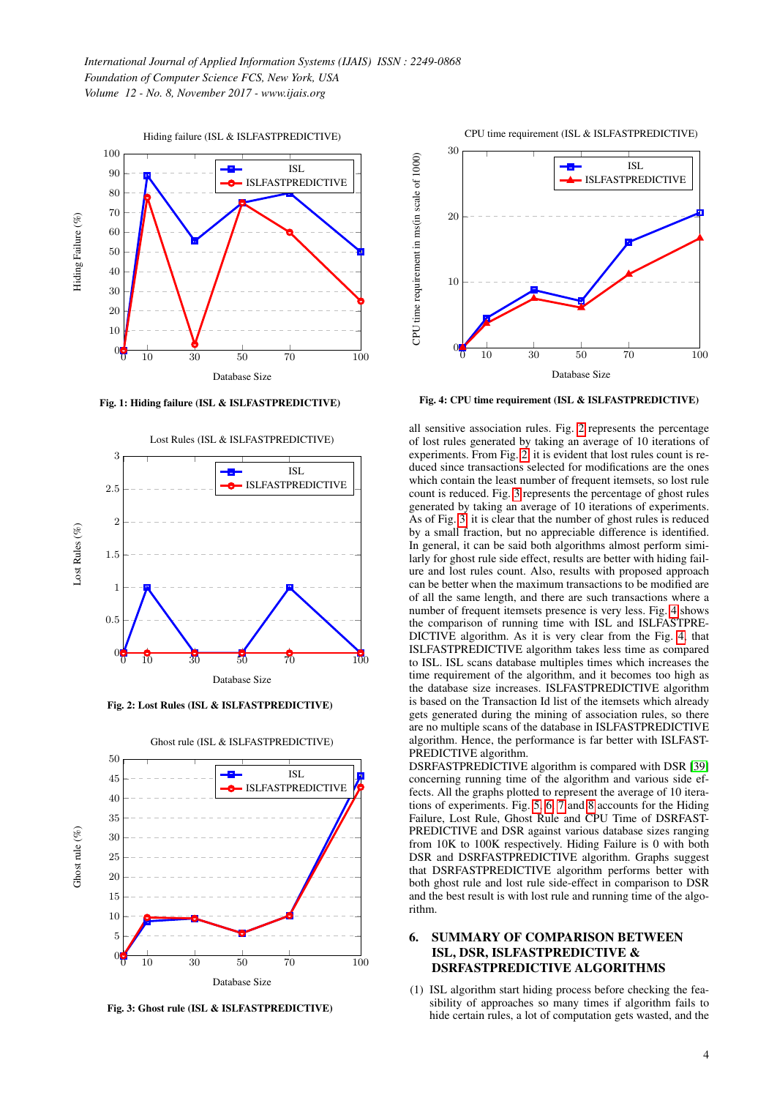<span id="page-3-0"></span>

Fig. 1: Hiding failure (ISL & ISLFASTPREDICTIVE)

<span id="page-3-1"></span>

Fig. 2: Lost Rules (ISL & ISLFASTPREDICTIVE)

<span id="page-3-2"></span>

Ghost rule (ISL & ISLFASTPREDICTIVE)

Fig. 3: Ghost rule (ISL & ISLFASTPREDICTIVE)

CPU time requirement (ISL & ISLFASTPREDICTIVE)

<span id="page-3-3"></span>

Fig. 4: CPU time requirement (ISL & ISLFASTPREDICTIVE)

all sensitive association rules. Fig. [2](#page-3-1) represents the percentage of lost rules generated by taking an average of 10 iterations of experiments. From Fig. [2,](#page-3-1) it is evident that lost rules count is reduced since transactions selected for modifications are the ones which contain the least number of frequent itemsets, so lost rule count is reduced. Fig. [3](#page-3-2) represents the percentage of ghost rules generated by taking an average of 10 iterations of experiments. As of Fig. [3,](#page-3-2) it is clear that the number of ghost rules is reduced by a small fraction, but no appreciable difference is identified. In general, it can be said both algorithms almost perform similarly for ghost rule side effect, results are better with hiding failure and lost rules count. Also, results with proposed approach can be better when the maximum transactions to be modified are of all the same length, and there are such transactions where a number of frequent itemsets presence is very less. Fig. [4](#page-3-3) shows the comparison of running time with ISL and ISLFASTPRE-DICTIVE algorithm. As it is very clear from the Fig. [4,](#page-3-3) that ISLFASTPREDICTIVE algorithm takes less time as compared to ISL. ISL scans database multiples times which increases the time requirement of the algorithm, and it becomes too high as the database size increases. ISLFASTPREDICTIVE algorithm is based on the Transaction Id list of the itemsets which already gets generated during the mining of association rules, so there are no multiple scans of the database in ISLFASTPREDICTIVE algorithm. Hence, the performance is far better with ISLFAST-PREDICTIVE algorithm.

DSRFASTPREDICTIVE algorithm is compared with DSR [\[39\]](#page-6-7) concerning running time of the algorithm and various side effects. All the graphs plotted to represent the average of 10 iterations of experiments. Fig. [5,](#page-4-3) [6,](#page-4-4) [7](#page-4-5) and [8](#page-4-6) accounts for the Hiding Failure, Lost Rule, Ghost Rule and CPU Time of DSRFAST-PREDICTIVE and DSR against various database sizes ranging from 10K to 100K respectively. Hiding Failure is 0 with both DSR and DSRFASTPREDICTIVE algorithm. Graphs suggest that DSRFASTPREDICTIVE algorithm performs better with both ghost rule and lost rule side-effect in comparison to DSR and the best result is with lost rule and running time of the algorithm.

# 6. SUMMARY OF COMPARISON BETWEEN ISL, DSR, ISLFASTPREDICTIVE & DSRFASTPREDICTIVE ALGORITHMS

(1) ISL algorithm start hiding process before checking the feasibility of approaches so many times if algorithm fails to hide certain rules, a lot of computation gets wasted, and the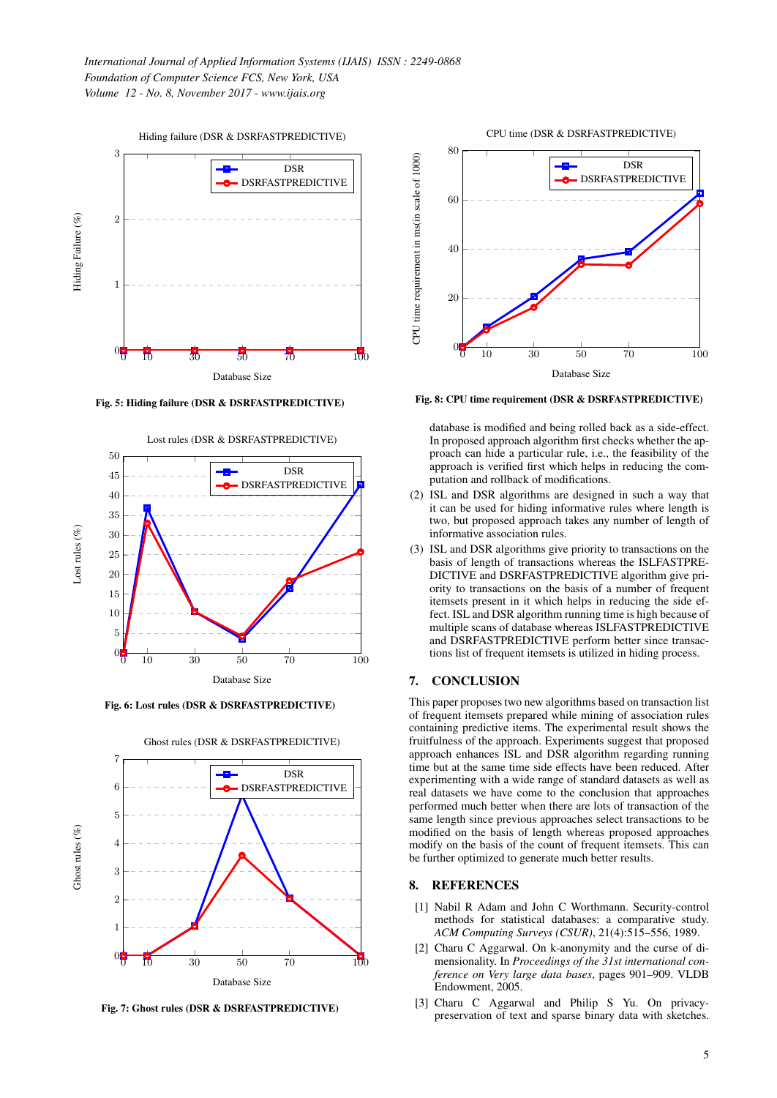<span id="page-4-3"></span>

Fig. 5: Hiding failure (DSR & DSRFASTPREDICTIVE)

<span id="page-4-4"></span>

Fig. 6: Lost rules (DSR & DSRFASTPREDICTIVE)

<span id="page-4-5"></span>

Ghost rules (DSR & DSRFASTPREDICTIVE)

Fig. 7: Ghost rules (DSR & DSRFASTPREDICTIVE)

<span id="page-4-6"></span>

Fig. 8: CPU time requirement (DSR & DSRFASTPREDICTIVE)

database is modified and being rolled back as a side-effect. In proposed approach algorithm first checks whether the approach can hide a particular rule, i.e., the feasibility of the approach is verified first which helps in reducing the computation and rollback of modifications.

- (2) ISL and DSR algorithms are designed in such a way that it can be used for hiding informative rules where length is two, but proposed approach takes any number of length of informative association rules.
- (3) ISL and DSR algorithms give priority to transactions on the basis of length of transactions whereas the ISLFASTPRE-DICTIVE and DSRFASTPREDICTIVE algorithm give priority to transactions on the basis of a number of frequent itemsets present in it which helps in reducing the side effect. ISL and DSR algorithm running time is high because of multiple scans of database whereas ISLFASTPREDICTIVE and DSRFASTPREDICTIVE perform better since transactions list of frequent itemsets is utilized in hiding process.

## 7. CONCLUSION

This paper proposes two new algorithms based on transaction list of frequent itemsets prepared while mining of association rules containing predictive items. The experimental result shows the fruitfulness of the approach. Experiments suggest that proposed approach enhances ISL and DSR algorithm regarding running time but at the same time side effects have been reduced. After experimenting with a wide range of standard datasets as well as real datasets we have come to the conclusion that approaches performed much better when there are lots of transaction of the same length since previous approaches select transactions to be modified on the basis of length whereas proposed approaches modify on the basis of the count of frequent itemsets. This can be further optimized to generate much better results.

#### 8. REFERENCES

- <span id="page-4-0"></span>[1] Nabil R Adam and John C Worthmann. Security-control methods for statistical databases: a comparative study. *ACM Computing Surveys (CSUR)*, 21(4):515–556, 1989.
- <span id="page-4-1"></span>[2] Charu C Aggarwal. On k-anonymity and the curse of dimensionality. In *Proceedings of the 31st international conference on Very large data bases*, pages 901–909. VLDB Endowment, 2005.
- <span id="page-4-2"></span>[3] Charu C Aggarwal and Philip S Yu. On privacypreservation of text and sparse binary data with sketches.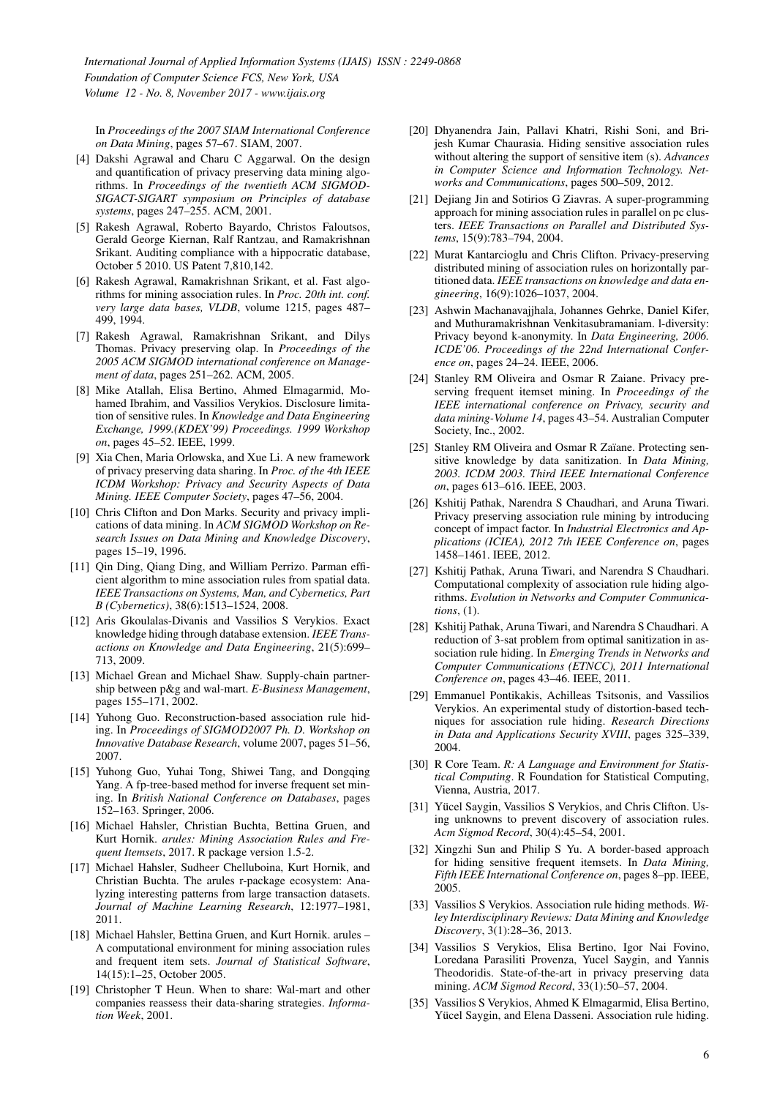*International Journal of Applied Information Systems (IJAIS) ISSN : 2249-0868 Foundation of Computer Science FCS, New York, USA Volume 12 - No. 8, November 2017 - www.ijais.org*

In *Proceedings of the 2007 SIAM International Conference on Data Mining*, pages 57–67. SIAM, 2007.

- <span id="page-5-3"></span>[4] Dakshi Agrawal and Charu C Aggarwal. On the design and quantification of privacy preserving data mining algorithms. In *Proceedings of the twentieth ACM SIGMOD-SIGACT-SIGART symposium on Principles of database systems*, pages 247–255. ACM, 2001.
- <span id="page-5-4"></span>[5] Rakesh Agrawal, Roberto Bayardo, Christos Faloutsos, Gerald George Kiernan, Ralf Rantzau, and Ramakrishnan Srikant. Auditing compliance with a hippocratic database, October 5 2010. US Patent 7,810,142.
- <span id="page-5-31"></span>[6] Rakesh Agrawal, Ramakrishnan Srikant, et al. Fast algorithms for mining association rules. In *Proc. 20th int. conf. very large data bases, VLDB*, volume 1215, pages 487– 499, 1994.
- <span id="page-5-5"></span>[7] Rakesh Agrawal, Ramakrishnan Srikant, and Dilys Thomas. Privacy preserving olap. In *Proceedings of the 2005 ACM SIGMOD international conference on Management of data*, pages 251–262. ACM, 2005.
- <span id="page-5-7"></span>[8] Mike Atallah, Elisa Bertino, Ahmed Elmagarmid, Mohamed Ibrahim, and Vassilios Verykios. Disclosure limitation of sensitive rules. In *Knowledge and Data Engineering Exchange, 1999.(KDEX'99) Proceedings. 1999 Workshop on*, pages 45–52. IEEE, 1999.
- <span id="page-5-18"></span>[9] Xia Chen, Maria Orlowska, and Xue Li. A new framework of privacy preserving data sharing. In *Proc. of the 4th IEEE ICDM Workshop: Privacy and Security Aspects of Data Mining. IEEE Computer Society*, pages 47–56, 2004.
- <span id="page-5-8"></span>[10] Chris Clifton and Don Marks. Security and privacy implications of data mining. In *ACM SIGMOD Workshop on Research Issues on Data Mining and Knowledge Discovery*, pages 15–19, 1996.
- <span id="page-5-26"></span>[11] Qin Ding, Qiang Ding, and William Perrizo. Parman efficient algorithm to mine association rules from spatial data. *IEEE Transactions on Systems, Man, and Cybernetics, Part B (Cybernetics)*, 38(6):1513–1524, 2008.
- <span id="page-5-16"></span>[12] Aris Gkoulalas-Divanis and Vassilios S Verykios. Exact knowledge hiding through database extension. *IEEE Transactions on Knowledge and Data Engineering*, 21(5):699– 713, 2009.
- <span id="page-5-0"></span>[13] Michael Grean and Michael Shaw. Supply-chain partnership between p&g and wal-mart. *E-Business Management*, pages 155–171, 2002.
- <span id="page-5-17"></span>[14] Yuhong Guo. Reconstruction-based association rule hiding. In *Proceedings of SIGMOD2007 Ph. D. Workshop on Innovative Database Research*, volume 2007, pages 51–56, 2007.
- <span id="page-5-19"></span>[15] Yuhong Guo, Yuhai Tong, Shiwei Tang, and Dongqing Yang. A fp-tree-based method for inverse frequent set mining. In *British National Conference on Databases*, pages 152–163. Springer, 2006.
- <span id="page-5-28"></span>[16] Michael Hahsler, Christian Buchta, Bettina Gruen, and Kurt Hornik. *arules: Mining Association Rules and Frequent Itemsets*, 2017. R package version 1.5-2.
- <span id="page-5-30"></span>[17] Michael Hahsler, Sudheer Chelluboina, Kurt Hornik, and Christian Buchta. The arules r-package ecosystem: Analyzing interesting patterns from large transaction datasets. *Journal of Machine Learning Research*, 12:1977–1981, 2011.
- <span id="page-5-29"></span>[18] Michael Hahsler, Bettina Gruen, and Kurt Hornik. arules -A computational environment for mining association rules and frequent item sets. *Journal of Statistical Software*, 14(15):1–25, October 2005.
- <span id="page-5-1"></span>[19] Christopher T Heun. When to share: Wal-mart and other companies reassess their data-sharing strategies. *Information Week*, 2001.
- <span id="page-5-13"></span>[20] Dhyanendra Jain, Pallavi Khatri, Rishi Soni, and Brijesh Kumar Chaurasia. Hiding sensitive association rules without altering the support of sensitive item (s). *Advances in Computer Science and Information Technology. Networks and Communications*, pages 500–509, 2012.
- <span id="page-5-21"></span>[21] Dejiang Jin and Sotirios G Ziavras. A super-programming approach for mining association rules in parallel on pc clusters. *IEEE Transactions on Parallel and Distributed Systems*, 15(9):783–794, 2004.
- <span id="page-5-20"></span>[22] Murat Kantarcioglu and Chris Clifton. Privacy-preserving distributed mining of association rules on horizontally partitioned data. *IEEE transactions on knowledge and data engineering*, 16(9):1026–1037, 2004.
- <span id="page-5-6"></span>[23] Ashwin Machanavajjhala, Johannes Gehrke, Daniel Kifer, and Muthuramakrishnan Venkitasubramaniam. l-diversity: Privacy beyond k-anonymity. In *Data Engineering, 2006. ICDE'06. Proceedings of the 22nd International Conference on*, pages 24–24. IEEE, 2006.
- <span id="page-5-10"></span>[24] Stanley RM Oliveira and Osmar R Zaiane. Privacy preserving frequent itemset mining. In *Proceedings of the IEEE international conference on Privacy, security and data mining-Volume 14*, pages 43–54. Australian Computer Society, Inc., 2002.
- <span id="page-5-11"></span>[25] Stanley RM Oliveira and Osmar R Zaïane. Protecting sensitive knowledge by data sanitization. In *Data Mining, 2003. ICDM 2003. Third IEEE International Conference on*, pages 613–616. IEEE, 2003.
- <span id="page-5-22"></span>[26] Kshitij Pathak, Narendra S Chaudhari, and Aruna Tiwari. Privacy preserving association rule mining by introducing concept of impact factor. In *Industrial Electronics and Applications (ICIEA), 2012 7th IEEE Conference on*, pages 1458–1461. IEEE, 2012.
- <span id="page-5-24"></span>[27] Kshitij Pathak, Aruna Tiwari, and Narendra S Chaudhari. Computational complexity of association rule hiding algorithms. *Evolution in Networks and Computer Communications*, (1).
- <span id="page-5-23"></span>[28] Kshitij Pathak, Aruna Tiwari, and Narendra S Chaudhari. A reduction of 3-sat problem from optimal sanitization in association rule hiding. In *Emerging Trends in Networks and Computer Communications (ETNCC), 2011 International Conference on*, pages 43–46. IEEE, 2011.
- <span id="page-5-12"></span>[29] Emmanuel Pontikakis, Achilleas Tsitsonis, and Vassilios Verykios. An experimental study of distortion-based techniques for association rule hiding. *Research Directions in Data and Applications Security XVIII*, pages 325–339, 2004.
- <span id="page-5-27"></span>[30] R Core Team. *R: A Language and Environment for Statistical Computing*. R Foundation for Statistical Computing, Vienna, Austria, 2017.
- <span id="page-5-14"></span>[31] Yücel Saygin, Vassilios S Verykios, and Chris Clifton. Using unknowns to prevent discovery of association rules. *Acm Sigmod Record*, 30(4):45–54, 2001.
- <span id="page-5-15"></span>[32] Xingzhi Sun and Philip S Yu. A border-based approach for hiding sensitive frequent itemsets. In *Data Mining, Fifth IEEE International Conference on*, pages 8–pp. IEEE, 2005.
- <span id="page-5-25"></span>[33] Vassilios S Verykios. Association rule hiding methods. *Wiley Interdisciplinary Reviews: Data Mining and Knowledge Discovery*, 3(1):28–36, 2013.
- <span id="page-5-2"></span>[34] Vassilios S Verykios, Elisa Bertino, Igor Nai Fovino, Loredana Parasiliti Provenza, Yucel Saygin, and Yannis Theodoridis. State-of-the-art in privacy preserving data mining. *ACM Sigmod Record*, 33(1):50–57, 2004.
- <span id="page-5-9"></span>[35] Vassilios S Verykios, Ahmed K Elmagarmid, Elisa Bertino, Yücel Saygin, and Elena Dasseni. Association rule hiding.